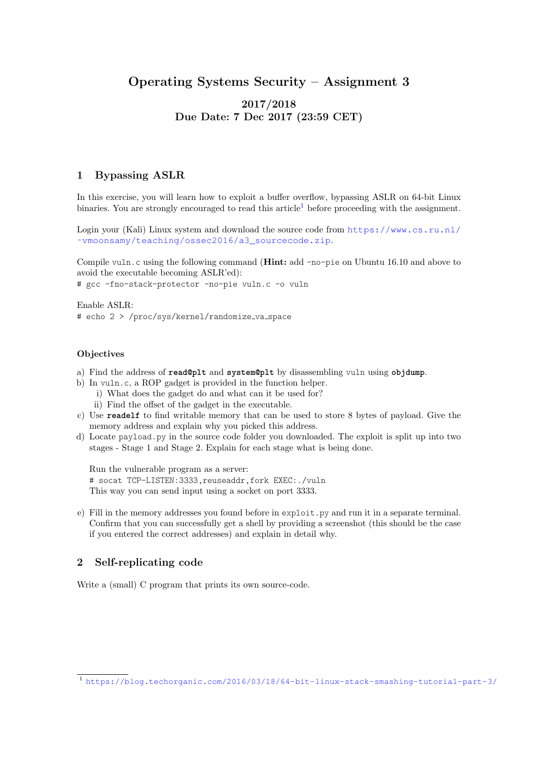# Operating Systems Security – Assignment 3

## 2017/2018 Due Date: 7 Dec 2017 (23:59 CET)

## 1 Bypassing ASLR

In this exercise, you will learn how to exploit a buffer overflow, bypassing ASLR on 64-bit Linux binaries. You are strongly encouraged to read this article<sup>[1](#page-0-0)</sup> before proceeding with the assignment.

Login your (Kali) Linux system and download the source code from [https://www.cs.ru.nl/](https://www.cs.ru.nl/~vmoonsamy/teaching/ossec2016/a3_sourcecode.zip) [˜vmoonsamy/teaching/ossec2016/a3\\_sourcecode.zip](https://www.cs.ru.nl/~vmoonsamy/teaching/ossec2016/a3_sourcecode.zip).

Compile vuln.c using the following command (**Hint:** add -no-pie on Ubuntu 16.10 and above to avoid the executable becoming ASLR'ed):

# gcc -fno-stack-protector -no-pie vuln.c -o vuln

Enable ASLR:

# echo 2 > /proc/sys/kernel/randomize\_va\_space

#### **Objectives**

- a) Find the address of **read@plt** and **system@plt** by disassembling vuln using **objdump**.
- b) In vuln.c, a ROP gadget is provided in the function helper.
	- i) What does the gadget do and what can it be used for?
	- ii) Find the offset of the gadget in the executable.
- c) Use **readelf** to find writable memory that can be used to store 8 bytes of payload. Give the memory address and explain why you picked this address.
- d) Locate payload.py in the source code folder you downloaded. The exploit is split up into two stages - Stage 1 and Stage 2. Explain for each stage what is being done.

Run the vulnerable program as a server: # socat TCP-LISTEN:3333,reuseaddr,fork EXEC:./vuln This way you can send input using a socket on port 3333.

e) Fill in the memory addresses you found before in exploit.py and run it in a separate terminal. Confirm that you can successfully get a shell by providing a screenshot (this should be the case if you entered the correct addresses) and explain in detail why.

### 2 Self-replicating code

Write a (small) C program that prints its own source-code.

<span id="page-0-0"></span><sup>1</sup> <https://blog.techorganic.com/2016/03/18/64-bit-linux-stack-smashing-tutorial-part-3/>